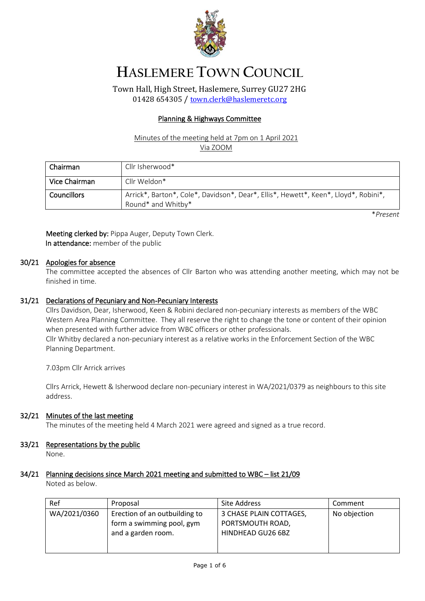

# **HASLEMERE TOWN COUNCIL**

Town Hall, High Street, Haslemere, Surrey GU27 2HG 01428 654305 / [town.clerk@haslemeretc.org](mailto:town.clerk@haslemeretc.org)

## Planning & Highways Committee

## Minutes of the meeting held at 7pm on 1 April 2021 Via ZOOM

| Chairman           | Cllr Isherwood*                                                                                           |
|--------------------|-----------------------------------------------------------------------------------------------------------|
| Vice Chairman      | Cllr Weldon*                                                                                              |
| <b>Councillors</b> | Arrick*, Barton*, Cole*, Davidson*, Dear*, Ellis*, Hewett*, Keen*, Lloyd*, Robini*,<br>Round* and Whitby* |

\**Present*

Meeting clerked by: Pippa Auger, Deputy Town Clerk. In attendance: member of the public

## 30/21 Apologies for absence

The committee accepted the absences of Cllr Barton who was attending another meeting, which may not be finished in time.

## 31/21 Declarations of Pecuniary and Non-Pecuniary Interests

Cllrs Davidson, Dear, Isherwood, Keen & Robini declared non-pecuniary interests as members of the WBC Western Area Planning Committee. They all reserve the right to change the tone or content of their opinion when presented with further advice from WBC officers or other professionals. Cllr Whitby declared a non-pecuniary interest as a relative works in the Enforcement Section of the WBC Planning Department.

7.03pm Cllr Arrick arrives

Cllrs Arrick, Hewett & Isherwood declare non-pecuniary interest in WA/2021/0379 as neighbours to this site address.

## 32/21 Minutes of the last meeting

The minutes of the meeting held 4 March 2021 were agreed and signed as a true record.

## 33/21 Representations by the public

None.

## 34/21 Planning decisions since March 2021 meeting and submitted to WBC – list 21/09

Noted as below.

| Ref          | Proposal                      | Site Address            | Comment      |
|--------------|-------------------------------|-------------------------|--------------|
| WA/2021/0360 | Erection of an outbuilding to | 3 CHASE PLAIN COTTAGES, | No objection |
|              | form a swimming pool, gym     | PORTSMOUTH ROAD,        |              |
|              | and a garden room.            | HINDHEAD GU26 6BZ       |              |
|              |                               |                         |              |
|              |                               |                         |              |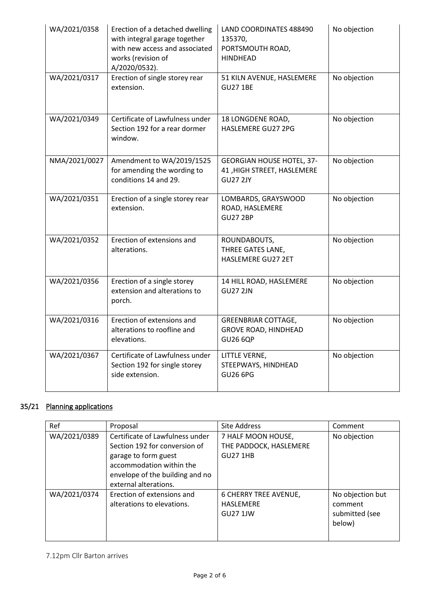| WA/2021/0358  | Erection of a detached dwelling<br>with integral garage together<br>with new access and associated<br>works (revision of<br>A/2020/0532). | LAND COORDINATES 488490<br>135370,<br>PORTSMOUTH ROAD,<br><b>HINDHEAD</b>         | No objection |
|---------------|-------------------------------------------------------------------------------------------------------------------------------------------|-----------------------------------------------------------------------------------|--------------|
| WA/2021/0317  | Erection of single storey rear<br>extension.                                                                                              | 51 KILN AVENUE, HASLEMERE<br><b>GU27 1BE</b>                                      | No objection |
| WA/2021/0349  | Certificate of Lawfulness under<br>Section 192 for a rear dormer<br>window.                                                               | 18 LONGDENE ROAD,<br>HASLEMERE GU27 2PG                                           | No objection |
| NMA/2021/0027 | Amendment to WA/2019/1525<br>for amending the wording to<br>conditions 14 and 29.                                                         | <b>GEORGIAN HOUSE HOTEL, 37-</b><br>41, HIGH STREET, HASLEMERE<br><b>GU27 2JY</b> | No objection |
| WA/2021/0351  | Erection of a single storey rear<br>extension.                                                                                            | LOMBARDS, GRAYSWOOD<br>ROAD, HASLEMERE<br><b>GU27 2BP</b>                         | No objection |
| WA/2021/0352  | Erection of extensions and<br>alterations.                                                                                                | ROUNDABOUTS,<br>THREE GATES LANE,<br>HASLEMERE GU27 2ET                           | No objection |
| WA/2021/0356  | Erection of a single storey<br>extension and alterations to<br>porch.                                                                     | 14 HILL ROAD, HASLEMERE<br><b>GU27 2JN</b>                                        | No objection |
| WA/2021/0316  | Erection of extensions and<br>alterations to roofline and<br>elevations.                                                                  | <b>GREENBRIAR COTTAGE,</b><br><b>GROVE ROAD, HINDHEAD</b><br><b>GU26 6QP</b>      | No objection |
| WA/2021/0367  | Certificate of Lawfulness under<br>Section 192 for single storey<br>side extension.                                                       | LITTLE VERNE,<br>STEEPWAYS, HINDHEAD<br><b>GU26 6PG</b>                           | No objection |

## 35/21 Planning applications

| Ref          | Proposal                                                                                                                                                                         | <b>Site Address</b>                                                 | Comment                                                 |
|--------------|----------------------------------------------------------------------------------------------------------------------------------------------------------------------------------|---------------------------------------------------------------------|---------------------------------------------------------|
| WA/2021/0389 | Certificate of Lawfulness under<br>Section 192 for conversion of<br>garage to form guest<br>accommodation within the<br>envelope of the building and no<br>external alterations. | 7 HALF MOON HOUSE,<br>THE PADDOCK, HASLEMERE<br><b>GU27 1HB</b>     | No objection                                            |
| WA/2021/0374 | Erection of extensions and<br>alterations to elevations.                                                                                                                         | <b>6 CHERRY TREE AVENUE,</b><br><b>HASLEMERE</b><br><b>GU27 1JW</b> | No objection but<br>comment<br>submitted (see<br>below) |

## 7.12pm Cllr Barton arrives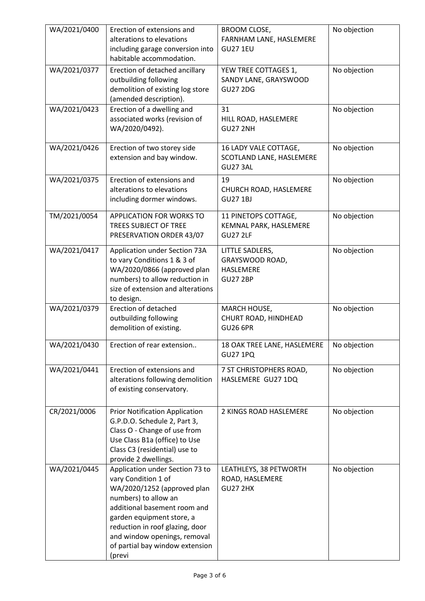| WA/2021/0400 | Erection of extensions and<br>alterations to elevations<br>including garage conversion into<br>habitable accommodation.                                                                                                                                                                    | <b>BROOM CLOSE,</b><br>FARNHAM LANE, HASLEMERE<br><b>GU27 1EU</b>  | No objection |
|--------------|--------------------------------------------------------------------------------------------------------------------------------------------------------------------------------------------------------------------------------------------------------------------------------------------|--------------------------------------------------------------------|--------------|
| WA/2021/0377 | Erection of detached ancillary<br>outbuilding following<br>demolition of existing log store<br>(amended description).                                                                                                                                                                      | YEW TREE COTTAGES 1,<br>SANDY LANE, GRAYSWOOD<br><b>GU27 2DG</b>   | No objection |
| WA/2021/0423 | Erection of a dwelling and<br>associated works (revision of<br>WA/2020/0492).                                                                                                                                                                                                              | 31<br>HILL ROAD, HASLEMERE<br><b>GU27 2NH</b>                      | No objection |
| WA/2021/0426 | Erection of two storey side<br>extension and bay window.                                                                                                                                                                                                                                   | 16 LADY VALE COTTAGE,<br>SCOTLAND LANE, HASLEMERE<br>GU27 3AL      | No objection |
| WA/2021/0375 | Erection of extensions and<br>alterations to elevations<br>including dormer windows.                                                                                                                                                                                                       | 19<br>CHURCH ROAD, HASLEMERE<br><b>GU27 1BJ</b>                    | No objection |
| TM/2021/0054 | <b>APPLICATION FOR WORKS TO</b><br><b>TREES SUBJECT OF TREE</b><br>PRESERVATION ORDER 43/07                                                                                                                                                                                                | 11 PINETOPS COTTAGE,<br>KEMNAL PARK, HASLEMERE<br><b>GU27 2LF</b>  | No objection |
| WA/2021/0417 | Application under Section 73A<br>to vary Conditions 1 & 3 of<br>WA/2020/0866 (approved plan<br>numbers) to allow reduction in<br>size of extension and alterations<br>to design.                                                                                                           | LITTLE SADLERS,<br>GRAYSWOOD ROAD,<br>HASLEMERE<br><b>GU27 2BP</b> | No objection |
| WA/2021/0379 | Erection of detached<br>outbuilding following<br>demolition of existing.                                                                                                                                                                                                                   | MARCH HOUSE,<br>CHURT ROAD, HINDHEAD<br><b>GU26 6PR</b>            | No objection |
| WA/2021/0430 | Erection of rear extension                                                                                                                                                                                                                                                                 | 18 OAK TREE LANE, HASLEMERE<br><b>GU27 1PQ</b>                     | No objection |
| WA/2021/0441 | Erection of extensions and<br>alterations following demolition<br>of existing conservatory.                                                                                                                                                                                                | 7 ST CHRISTOPHERS ROAD,<br>HASLEMERE GU27 1DQ                      | No objection |
| CR/2021/0006 | <b>Prior Notification Application</b><br>G.P.D.O. Schedule 2, Part 3,<br>Class O - Change of use from<br>Use Class B1a (office) to Use<br>Class C3 (residential) use to<br>provide 2 dwellings.                                                                                            | 2 KINGS ROAD HASLEMERE                                             | No objection |
| WA/2021/0445 | Application under Section 73 to<br>vary Condition 1 of<br>WA/2020/1252 (approved plan<br>numbers) to allow an<br>additional basement room and<br>garden equipment store, a<br>reduction in roof glazing, door<br>and window openings, removal<br>of partial bay window extension<br>(previ | LEATHLEYS, 38 PETWORTH<br>ROAD, HASLEMERE<br><b>GU27 2HX</b>       | No objection |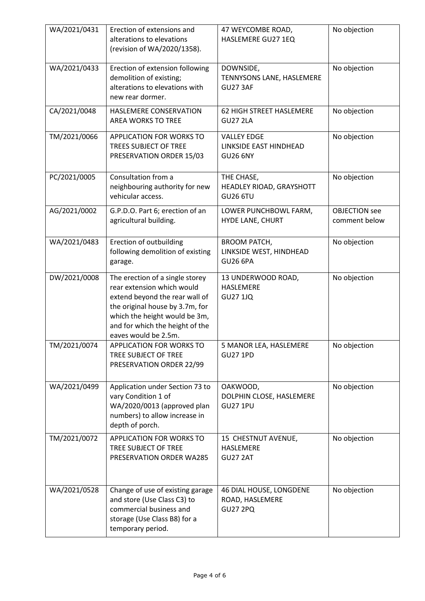| WA/2021/0431 | Erection of extensions and<br>alterations to elevations<br>(revision of WA/2020/1358).                                                                                                                                         | 47 WEYCOMBE ROAD,<br>HASLEMERE GU27 1EQ                           | No objection                          |
|--------------|--------------------------------------------------------------------------------------------------------------------------------------------------------------------------------------------------------------------------------|-------------------------------------------------------------------|---------------------------------------|
| WA/2021/0433 | Erection of extension following<br>demolition of existing;<br>alterations to elevations with<br>new rear dormer.                                                                                                               | DOWNSIDE,<br>TENNYSONS LANE, HASLEMERE<br><b>GU27 3AF</b>         | No objection                          |
| CA/2021/0048 | HASLEMERE CONSERVATION<br><b>AREA WORKS TO TREE</b>                                                                                                                                                                            | 62 HIGH STREET HASLEMERE<br><b>GU27 2LA</b>                       | No objection                          |
| TM/2021/0066 | APPLICATION FOR WORKS TO<br><b>TREES SUBJECT OF TREE</b><br>PRESERVATION ORDER 15/03                                                                                                                                           | <b>VALLEY EDGE</b><br>LINKSIDE EAST HINDHEAD<br><b>GU26 6NY</b>   | No objection                          |
| PC/2021/0005 | Consultation from a<br>neighbouring authority for new<br>vehicular access.                                                                                                                                                     | THE CHASE,<br>HEADLEY RIOAD, GRAYSHOTT<br><b>GU26 6TU</b>         | No objection                          |
| AG/2021/0002 | G.P.D.O. Part 6; erection of an<br>agricultural building.                                                                                                                                                                      | LOWER PUNCHBOWL FARM,<br>HYDE LANE, CHURT                         | <b>OBJECTION</b> see<br>comment below |
| WA/2021/0483 | Erection of outbuilding<br>following demolition of existing<br>garage.                                                                                                                                                         | <b>BROOM PATCH,</b><br>LINKSIDE WEST, HINDHEAD<br><b>GU26 6PA</b> | No objection                          |
| DW/2021/0008 | The erection of a single storey<br>rear extension which would<br>extend beyond the rear wall of<br>the original house by 3.7m, for<br>which the height would be 3m,<br>and for which the height of the<br>eaves would be 2.5m. | 13 UNDERWOOD ROAD,<br><b>HASLEMERE</b><br><b>GU27 1JQ</b>         | No objection                          |
| TM/2021/0074 | <b>APPLICATION FOR WORKS TO</b><br>TREE SUBJECT OF TREE<br>PRESERVATION ORDER 22/99                                                                                                                                            | 5 MANOR LEA, HASLEMERE<br><b>GU27 1PD</b>                         | No objection                          |
| WA/2021/0499 | Application under Section 73 to<br>vary Condition 1 of<br>WA/2020/0013 (approved plan<br>numbers) to allow increase in<br>depth of porch.                                                                                      | OAKWOOD,<br>DOLPHIN CLOSE, HASLEMERE<br><b>GU27 1PU</b>           | No objection                          |
| TM/2021/0072 | APPLICATION FOR WORKS TO<br>TREE SUBJECT OF TREE<br>PRESERVATION ORDER WA285                                                                                                                                                   | 15 CHESTNUT AVENUE,<br>HASLEMERE<br>GU27 2AT                      | No objection                          |
| WA/2021/0528 | Change of use of existing garage<br>and store (Use Class C3) to<br>commercial business and<br>storage (Use Class B8) for a<br>temporary period.                                                                                | 46 DIAL HOUSE, LONGDENE<br>ROAD, HASLEMERE<br><b>GU27 2PQ</b>     | No objection                          |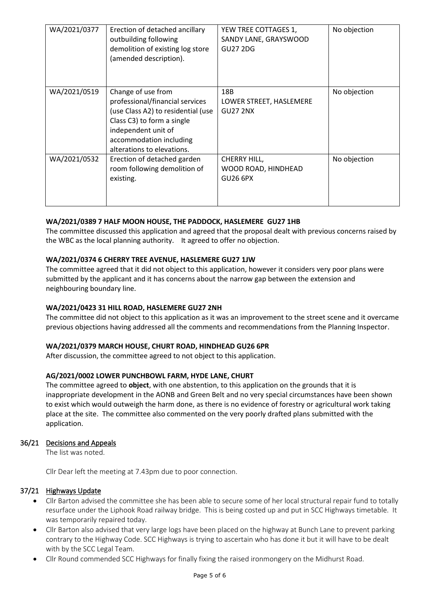| WA/2021/0377 | Erection of detached ancillary<br>outbuilding following<br>demolition of existing log store<br>(amended description).                                                                                     | YEW TREE COTTAGES 1,<br>SANDY LANE, GRAYSWOOD<br><b>GU27 2DG</b> | No objection |
|--------------|-----------------------------------------------------------------------------------------------------------------------------------------------------------------------------------------------------------|------------------------------------------------------------------|--------------|
| WA/2021/0519 | Change of use from<br>professional/financial services<br>(use Class A2) to residential (use<br>Class C3) to form a single<br>independent unit of<br>accommodation including<br>alterations to elevations. | 18B<br>LOWER STREET, HASLEMERE<br><b>GU27 2NX</b>                | No objection |
| WA/2021/0532 | Erection of detached garden<br>room following demolition of<br>existing.                                                                                                                                  | CHERRY HILL,<br>WOOD ROAD, HINDHEAD<br><b>GU26 6PX</b>           | No objection |

## **WA/2021/0389 7 HALF MOON HOUSE, THE PADDOCK, HASLEMERE GU27 1HB**

The committee discussed this application and agreed that the proposal dealt with previous concerns raised by the WBC as the local planning authority. It agreed to offer no objection.

## **WA/2021/0374 6 CHERRY TREE AVENUE, HASLEMERE GU27 1JW**

The committee agreed that it did not object to this application, however it considers very poor plans were submitted by the applicant and it has concerns about the narrow gap between the extension and neighbouring boundary line.

## **WA/2021/0423 31 HILL ROAD, HASLEMERE GU27 2NH**

The committee did not object to this application as it was an improvement to the street scene and it overcame previous objections having addressed all the comments and recommendations from the Planning Inspector.

## **WA/2021/0379 MARCH HOUSE, CHURT ROAD, HINDHEAD GU26 6PR**

After discussion, the committee agreed to not object to this application.

## **AG/2021/0002 LOWER PUNCHBOWL FARM, HYDE LANE, CHURT**

The committee agreed to **object**, with one abstention, to this application on the grounds that it is inappropriate development in the AONB and Green Belt and no very special circumstances have been shown to exist which would outweigh the harm done, as there is no evidence of forestry or agricultural work taking place at the site. The committee also commented on the very poorly drafted plans submitted with the application.

## 36/21 Decisions and Appeals

The list was noted.

Cllr Dear left the meeting at 7.43pm due to poor connection.

## 37/21 Highways Update

- Cllr Barton advised the committee she has been able to secure some of her local structural repair fund to totally resurface under the Liphook Road railway bridge. This is being costed up and put in SCC Highways timetable. It was temporarily repaired today.
- Cllr Barton also advised that very large logs have been placed on the highway at Bunch Lane to prevent parking contrary to the Highway Code. SCC Highways is trying to ascertain who has done it but it will have to be dealt with by the SCC Legal Team.
- Cllr Round commended SCC Highways for finally fixing the raised ironmongery on the Midhurst Road.